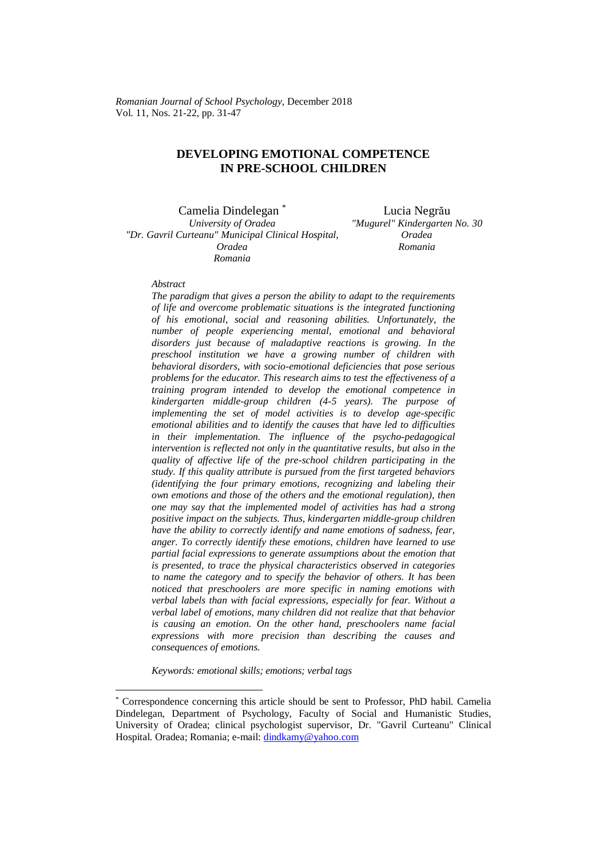## **DEVELOPING EMOTIONAL COMPETENCE IN PRE-SCHOOL CHILDREN**

Camelia Dindelegan \* Lucia Negrău *University of Oradea "Dr. Gavril Curteanu" Municipal Clinical Hospital, Oradea Romania*

*"Mugurel" Kindergarten No. 30 Oradea Romania*

## *Abstract*

 $\overline{a}$ 

*The paradigm that gives a person the ability to adapt to the requirements of life and overcome problematic situations is the integrated functioning of his emotional, social and reasoning abilities. Unfortunately, the number of people experiencing mental, emotional and behavioral disorders just because of maladaptive reactions is growing. In the preschool institution we have a growing number of children with behavioral disorders, with socio-emotional deficiencies that pose serious problems for the educator. This research aims to test the effectiveness of a training program intended to develop the emotional competence in kindergarten middle-group children (4-5 years). The purpose of implementing the set of model activities is to develop age-specific emotional abilities and to identify the causes that have led to difficulties in their implementation. The influence of the psycho-pedagogical intervention is reflected not only in the quantitative results, but also in the quality of affective life of the pre-school children participating in the study. If this quality attribute is pursued from the first targeted behaviors (identifying the four primary emotions, recognizing and labeling their own emotions and those of the others and the emotional regulation), then one may say that the implemented model of activities has had a strong positive impact on the subjects. Thus, kindergarten middle-group children have the ability to correctly identify and name emotions of sadness, fear, anger. To correctly identify these emotions, children have learned to use partial facial expressions to generate assumptions about the emotion that is presented, to trace the physical characteristics observed in categories to name the category and to specify the behavior of others. It has been noticed that preschoolers are more specific in naming emotions with verbal labels than with facial expressions, especially for fear. Without a verbal label of emotions, many children did not realize that that behavior is causing an emotion. On the other hand, preschoolers name facial expressions with more precision than describing the causes and consequences of emotions.*

*Keywords: emotional skills; emotions; verbal tags*

<sup>\*</sup> Correspondence concerning this article should be sent to Professor, PhD habil. Camelia Dindelegan, Department of Psychology, Faculty of Social and Humanistic Studies, University of Oradea; clinical psychologist supervisor, Dr. "Gavril Curteanu" Clinical Hospital. Oradea; Romania; e-mail[: dindkamy@yahoo.com](mailto:dindkamy@yahoo.com)